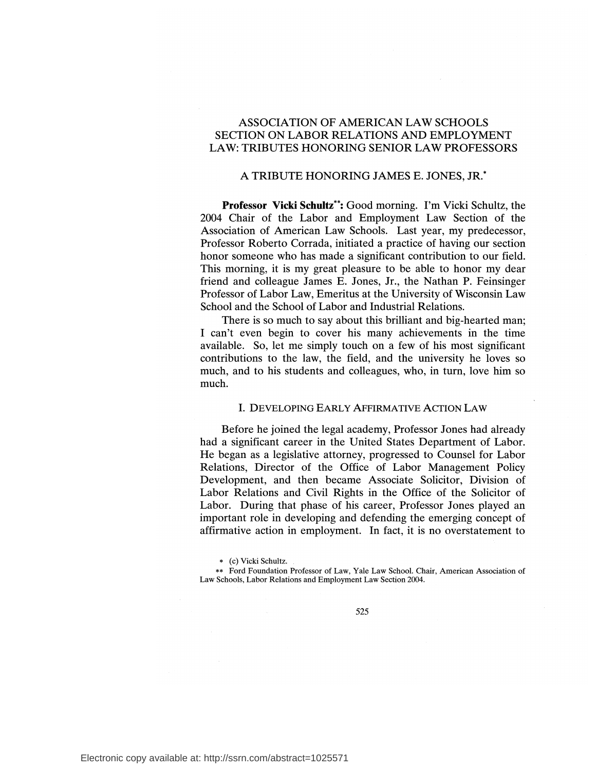# ASSOCIATION OF AMERICAN LAW SCHOOLS SECTION ON LABOR RELATIONS AND EMPLOYMENT LAW: TRIBUTES HONORING SENIOR LAW PROFESSORS

# A TRIBUTE HONORING JAMES E. JONES, JR.\*

**Professor Vicki Schultz\*\*:** Good morning. I'm Vicki Schultz, the 2004 Chair of the Labor and Employment Law Section of the Association of American Law Schools. Last year, my predecessor, Professor Roberto Corrada, initiated a practice of having our section honor someone who has made a significant contribution to our field. This morning, it is my great pleasure to be able to honor my dear friend and colleague James E. Jones, Jr., the Nathan P. Feinsinger Professor of Labor Law, Emeritus at the University of Wisconsin Law School and the School of Labor and Industrial Relations.

There is so much to say about this brilliant and big-hearted man; I can't even begin to cover his many achievements in the time available. So, let me simply touch on a few of his most significant contributions to the law, the field, and the university he loves so much, and to his students and colleagues, who, in turn, love him so much.

## I. DEVELOPING EARLY AFFIRMATIVE ACTION LAW

Before he joined the legal academy, Professor Jones had already had a significant career in the United States Department of Labor. He began as a legislative attorney, progressed to Counsel for Labor Relations, Director of the Office of Labor Management Policy Development, and then became Associate Solicitor, Division of Labor Relations and Civil Rights in the Office of the Solicitor of Labor. During that phase of his career, Professor Jones played an important role in developing and defending the emerging concept of affirmative action in employment. In fact, it is no overstatement to

\*\* Ford Foundation Professor of Law, Yale Law School. Chair, American Association of Law Schools, Labor Relations and Employment Law Section 2004.

<sup>\* (</sup>c) Vicki Schultz.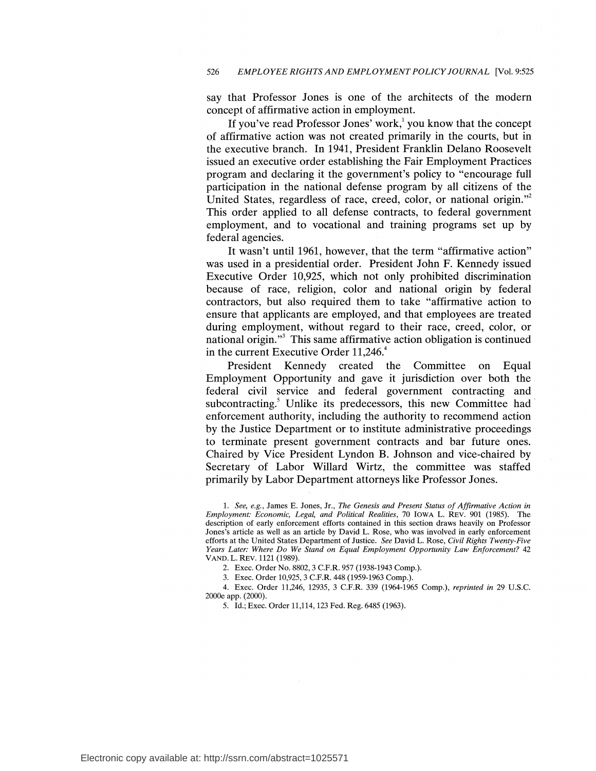say that Professor Jones is one of the architects of the modern concept of affirmative action in employment.

If you've read Professor Jones' work,<sup>1</sup> you know that the concept of affirmative action was not created primarily in the courts, but in the executive branch. In 1941, President Franklin Delano Roosevelt issued an executive order establishing the Fair Employment Practices program and declaring it the government's policy to "encourage full participation in the national defense program by all citizens of the United States, regardless of race, creed, color, or national origin."<sup>2</sup> This order applied to all defense contracts, to federal government employment, and to vocational and training programs set up by federal agencies.

It wasn't until 1961, however, that the term "affirmative action" was used in a presidential order. President John F. Kennedy issued Executive Order 10,925, which not only prohibited discrimination because of race, religion, color and national origin by federal contractors, but also required them to take "affirmative action to ensure that applicants are employed, and that employees are treated during employment, without regard to their race, creed, color, or national origin."3 This same affirmative action obligation is continued in the current Executive Order 11,246.<sup>4</sup>

President Kennedy created the Committee on Equal Employment Opportunity and gave it jurisdiction over both the federal civil service and federal government contracting and subcontracting.<sup>5</sup> Unlike its predecessors, this new Committee had enforcement authority, including the authority to recommend action by the Justice Department or to institute administrative proceedings to terminate present government contracts and bar future ones. Chaired by Vice President Lyndon B. Johnson and vice-chaired by Secretary of Labor Willard Wirtz, the committee was staffed primarily by Labor Department attorneys like Professor Jones.

1. *See, e.g.,* James E. Jones, Jr., *The Genesis and Present Status of Affirmative Action in Employment: Economic, Legal, and Political Realities,* 70 IOWA L. REV. 901 (1985). The description of early enforcement efforts contained in this section draws heavily on Professor Jones's article as well as an article by David L. Rose, who was involved in early enforcement efforts at the United States Department of Justice. *See* David L. Rose, *Civil Rights Twenty-Five Years Later: Where Do We Stand on Equal Employment Opportunity Law Enforcement?* 42 VAND. L. REV. 1121 (1989).

2. Exec. Order No. 8802, 3 C.F.R. 957 (1938-1943 Comp.).

3. Exec. Order 10,925, 3 C.F.R. 448 (1959-1963 Comp.).

4. Exec. Order 11,246, 12935, 3 C.F.R. 339 (1964-1965 Comp.), *reprinted in* 29 U.S.C. 2000e app. (2000).

5. Id.; Exec. Order 11,114, 123 Fed. Reg. 6485 (1963).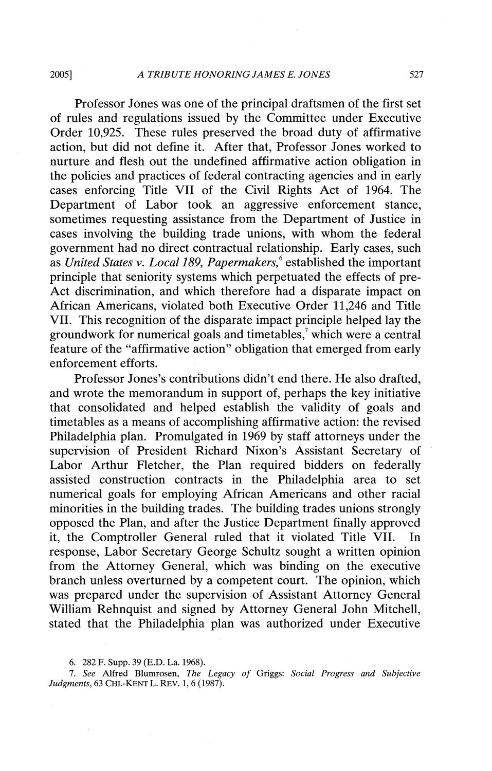#### 2005] *A TRIBUTE HONORING JAMES E. JONES* 527

Professor Jones was one of the principal draftsmen of the first set of rules and regulations issued by the Committee under Executive Order 10,925. These rules preserved the broad duty of affirmative action, but did not define it. After that, Professor Jones worked to nurture and flesh out the undefined affirmative action obligation in the policies and practices of federal contracting agencies and in early cases enforcing Title VII of the Civil Rights Act of 1964. The Department of Labor took an aggressive enforcement stance, sometimes requesting assistance from the Department of Justice in cases involving the building trade unions, with whom the federal government had no direct contractual relationship. Early cases, such as *United States v. Local 189, Papermakers,* 6 established the important principle that seniority systems which perpetuated the effects of pre-Act discrimination, and which therefore had a disparate impact on African Americans, violated both Executive Order 11,246 and Title VII. This recognition of the disparate impact principle helped lay the groundwork for numerical goals and timetables, $\alpha$  which were a central feature of the "affirmative action" obligation that emerged from early enforcement efforts.

Professor Jones's contributions didn't end there. He also drafted, and wrote the memorandum in support of, perhaps the key initiative that consolidated and helped establish the validity of goals and timetables as a means of accomplishing affirmative action: the revised Philadelphia plan. Promulgated in 1969 by staff attorneys under the supervision of President Richard Nixon's Assistant Secretary of Labor Arthur Fletcher, the Plan required bidders on federally assisted construction contracts in the Philadelphia area to set numerical goals for employing African Americans and other racial minorities in the building trades. The building trades unions strongly opposed the Plan, and after the Justice Department finally approved it, the Comptroller General ruled that it violated Title VII. In response, Labor Secretary George Schultz sought a written opinion from the Attorney General, which was binding on the executive branch unless overturned by a competent court. The opinion, which was prepared under the supervision of Assistant Attorney General William Rehnquist and signed by Attorney General John Mitchell, stated that the Philadelphia plan was authorized under Executive

6. 282 F. Supp. 39 (E.D. La. 1968).

7. *See* Alfred Blumrosen, *The Legacy of* Griggs: *Social Progress and Subjective Judgments,* 63 CHI.-KENT L. REV. 1, 6 (1987).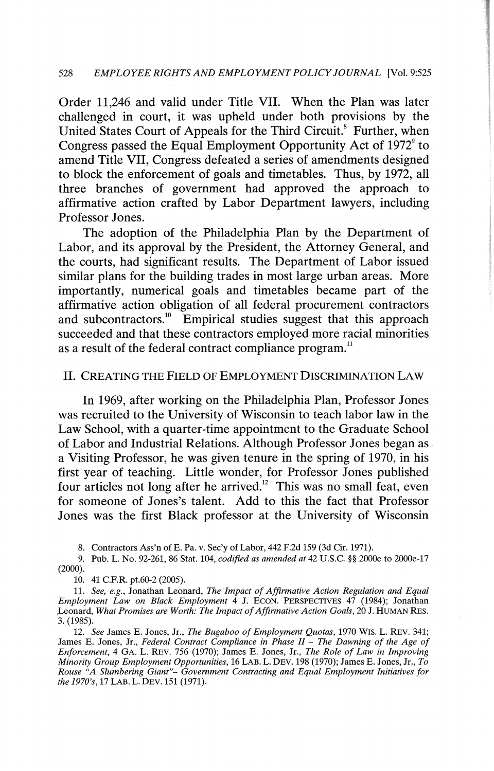#### 528 *EMPLOYEE RIGHTS AND EMPLOYMENT POLICY JOURNAL* [Vol. 9:525

Order 11,246 and valid under Title VII. When the Plan was later challenged in court, it was upheld under both provisions by the United States Court of Appeals for the Third Circuit.<sup>8</sup> Further, when Congress passed the Equal Employment Opportunity Act of  $1972^{\circ}$  to amend Title VII, Congress defeated a series of amendments designed to block the enforcement of goals and timetables. Thus, by 1972, all three branches of government had approved the approach to affirmative action crafted by Labor Department lawyers, including Professor Jones.

The adoption of the Philadelphia Plan by the Department of Labor, and its approval by the President, the Attorney General, and the courts, had significant results. The Department of Labor issued similar plans for the building trades in most large urban areas. More importantly, numerical goals and timetables became part of the affirmative action obligation of all federal procurement contractors and subcontractors.<sup>10</sup> Empirical studies suggest that this approach succeeded and that these contractors employed more racial minorities as a result of the federal contract compliance program.<sup>11</sup>

# II. CREATING THE FIELD OF EMPLOYMENT DISCRIMINATION LAW

In 1969, after working on the Philadelphia Plan, Professor Jones was recruited to the University of Wisconsin to teach labor law in the Law School, with a quarter-time appointment to the Graduate School of Labor and Industrial Relations. Although Professor Jones began as . a Visiting Professor, he was given tenure in the spring of 1970, in his first year of teaching. Little wonder, for Professor Jones published four articles not long after he arrived.<sup>12</sup> This was no small feat, even for someone of Jones's talent. Add to this the fact that Professor Jones was the first Black professor at the University of Wisconsin

8. Contractors Ass'n of E. Pa. v. Sec'y of Labor, 442 F.2d 159 (3d Cir. 1971).

9. Pub. L. No. 92-261, 86 Stat. 104, *codified as amended at* 42 U.S.C. §§ 2000e to 2000e-l 7 (2000).

10. 41 C.F.R. pt.60-2 (2005).

11. *See, e.g.,* Jonathan Leonard, *The Impact of Affirmative Action Regulation and Equal Employment Law on Black Employment* 4 J. ECON. PERSPECTIVES 47 (1984); Jonathan ,Leonard, *What Promises are Worth: The Impact of Affirmative Action Goals,* 20 J. HUMAN RES. 3. (1985).

12. *See* James E. Jones, Jr., *The Bugaboo of Employment Quotas,* 1970 WIS. L. REV. 341; James E. Jones, Jr., *Federal Contract Compliance in Phase II* - *The Dawning of the Age of Enforcement,* 4 GA. L. REV. 756 (1970); James E. Jones, Jr., *The Role of Law in Improving Minority Group Employment Opportunities,* 16 LAB. L. DEV. 198 (1970); James E. Jones, Jr., *To Rouse "A Slumbering Giant"- Government Contracting and Equal Employment Initiatives for the 1970's,* 17 LAB. L.DEV. 151 (1971).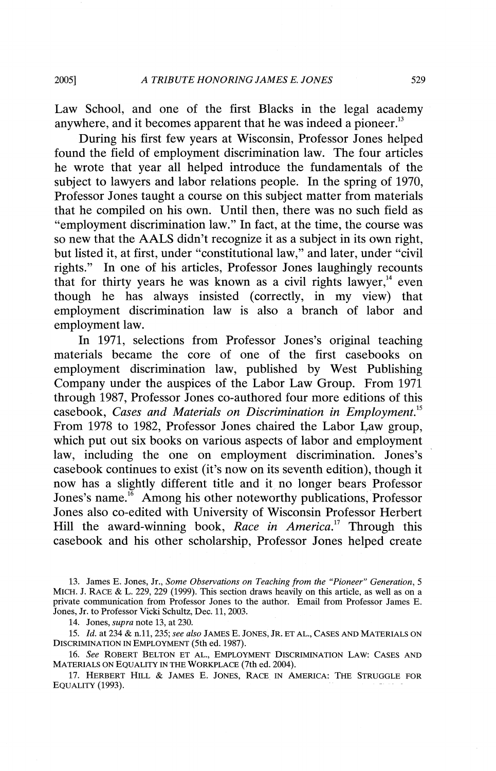Law School, and one of the first Blacks in the legal academy anywhere, and it becomes apparent that he was indeed a pioneer.<sup>13</sup>

During his first few years at Wisconsin, Professor Jones helped found the field of employment discrimination law. The four articles he wrote that year all helped introduce the fundamentals of the subject to lawyers and labor relations people. In the spring of 1970, Professor Jones taught a course on this subject matter from materials that he compiled on his own. Until then, there was no such field as "employment discrimination law." In fact, at the time, the course was so new that the AALS didn't recognize it as a subject in its own right, but listed it, at first, under "constitutional law," and later, under "civil rights." In one of his articles, Professor Jones laughingly recounts that for thirty years he was known as a civil rights lawyer, $14$  even though he has always insisted (correctly, in my view) that employment discrimination law is also a branch of labor and employment law.

In 1971, selections from Professor Jones's original teaching materials became the core of one of the first casebooks on employment discrimination law, published by West Publishing Company under the auspices of the Labor Law Group. From 1971 through 1987, Professor Jones co-authored four more editions of this casebook, *Cases and Materials on Discrimination in Employment. <sup>15</sup>* From 1978 to 1982, Professor Jones chaired the Labor Law group, which put out six books on various aspects of labor and employment law, including the one on employment discrimination. Jones's casebook continues to exist (it's now on its seventh edition), though it now has a slightly different title and it no longer bears Professor Jones's name.<sup>16</sup> Among his other noteworthy publications, Professor Jones also co-edited with University of Wisconsin Professor Herbert Hill the award-winning book, *Race in America*.<sup>17</sup> Through this casebook and his other scholarship, Professor Jones helped create

13. James E. Jones, Jr., *Some Observations on Teaching from the "Pioneer" Generation, 5*  MICH. J. RACE & L. 229, 229 (1999). This section draws heavily on this article, as well as on a private communication from Professor Jones to the author. Email from Professor James E. Jones, Jr. to Professor Vicki Schultz, Dec. 11, 2003.

14. Jones, *supra* note 13, at 230.

15. *Id.* at 234 & n.11, 235; *see also* JAMES E. JONES, JR. ET AL., CASES AND MATERIALS ON DISCRIMINATION IN EMPLOYMENT (5th ed. 1987).

16. *See* ROBERT BELTON ET AL., EMPLOYMENT DISCRIMINATION LAW: CASES AND MATERIALS ON EQUALITY IN THE WORKPLACE (7th ed. 2004).

17. HERBERT HILL & JAMES E. JONES, RACE. IN AMERICA: THE STRUGGLE FOR EQUALITY (1993).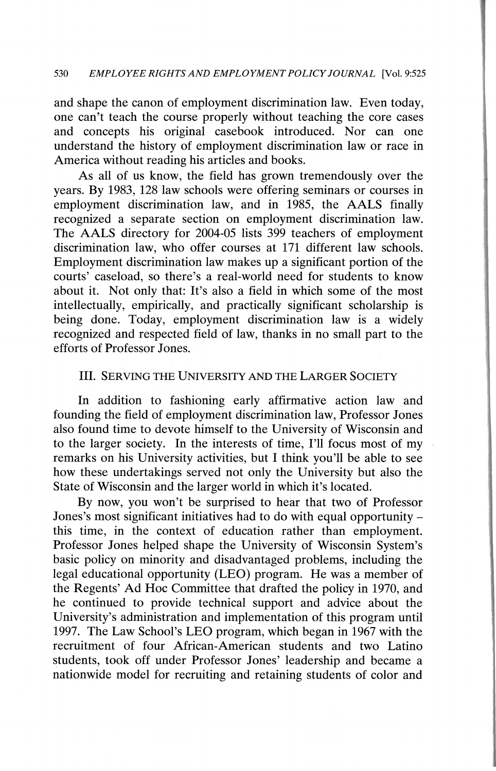#### 530 *EMPLOYEE RIGHTS AND EMPLOYMENT POLICY JOURNAL* [Vol. 9:525

and shape the canon of employment discrimination law. Even today, one can't teach the course properly without teaching the core cases and concepts his original casebook introduced. Nor can one understand the history of employment discrimination law or race in America without reading his articles and books.

As all of us know, the field has grown tremendously over the years. By 1983, 128 law schools were offering seminars or courses in employment discrimination law, and in 1985, the AALS finally recognized a separate section on employment discrimination law. The AALS directory for 2004-05 lists 399 teachers of employment discrimination law, who offer courses at 171 different law schools. Employment discrimination law makes up a significant portion of the courts' caseload, so there's a real-world need for students to know about it. Not only that: It's also a field in which some of the most intellectually, empirically, and practically significant scholarship is being done. Today, employment discrimination law is a widely recognized and respected field of law, thanks in no small part to the efforts of Professor Jones.

## Ill. SERVING THE UNIVERSITY AND THE LARGER SOCIETY

In addition to fashioning early affirmative action law and founding the field of employment discrimination law, Professor Jones also found time to devote himself to the University of Wisconsin and to the larger society. In the interests of time, I'll focus most of my remarks on his University activities, but I think you'll be able to see how these undertakings served not only the University but also the State of Wisconsin and the larger world in which it's located.

By now, you won't be surprised to hear that two of Professor Jones's most significant initiatives had to do with equal opportunity this time, in the context of education rather than employment. Professor Jones helped shape the University of Wisconsin System's basic policy on minority and disadvantaged problems, including the legal educational opportunity (LEO) program. He was a member of the Regents' Ad Hoc Committee that drafted the policy in 1970, and he continued to provide technical support and advice about the University's administration and implementation of this program until 1997. The Law School's LEO program, which began in 1967 with the recruitment of four African-American students and two Latino students, took off under Professor Jones' leadership and became a nationwide model for recruiting and retaining students of color and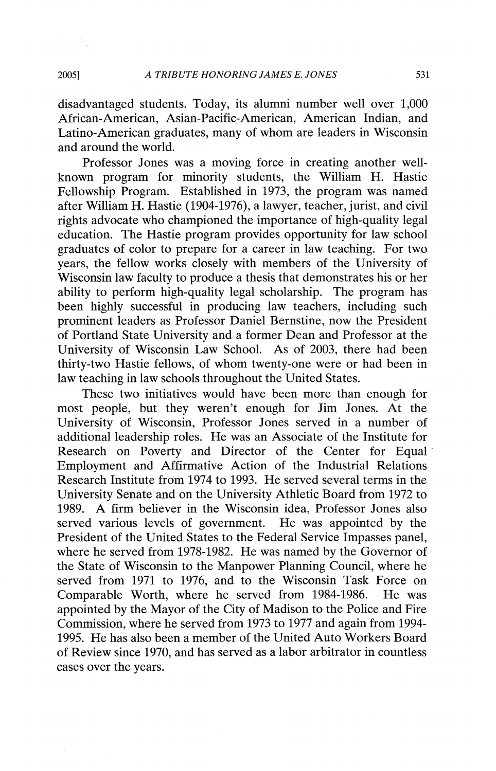disadvantaged students. Today, its alumni number well over 1,000 African-American, Asian-Pacific-American, American Indian, and Latino-American graduates, many of whom are leaders in Wisconsin and around the world.

Professor Jones was a moving force in creating another wellknown program for minority students, the William H. Hastie Fellowship Program. Established in 1973, the program was named after William H. Hastie (1904-1976), a lawyer, teacher, jurist, and civil rights advocate who championed the importance of high-quality legal education. The Hastie program provides opportunity for law school graduates of color to prepare for a career in law teaching. For two years, the fellow works closely with members of the University of Wisconsin law faculty to produce a thesis that demonstrates his or her ability to perform high-quality legal scholarship. The program has been highly successful in producing law teachers, including such prominent leaders as Professor Daniel Bernstine, now the President of Portland State University and a former Dean and Professor at the University of Wisconsin Law School. As of 2003, there had been thirty-two Hastie fellows, of whom twenty-one were or had been in law teaching in law schools throughout the United States.

These two initiatives would have been more than enough for most people, but they weren't enough for Jim Jones. At the University of Wisconsin, Professor Jones served in a number of additional leadership roles. He was an Associate of the Institute for Research on Poverty and Director of the Center for Equal Employment and Affirmative Action of the Industrial Relations Research Institute from 1974 to 1993. He served several terms in the University Senate and on the University Athletic Board from 1972 to 1989. A firm believer in the Wisconsin idea, Professor Jones also served various levels of government. He was appointed by the President of the United States to the Federal Service Impasses panel, where he served from 1978-1982. He was named by the Governor of the State of Wisconsin to the Manpower Planning Council, where he served from 1971 to 1976, and to the Wisconsin Task Force on Comparable Worth, where he served from 1984-1986. He was appointed by the Mayor of the City of Madison to the Police and Fire Commission, where he served from 1973 to 1977 and again from 1994-1995. He has also been a member of the United Auto Workers Board of Review since 1970, and has served as a labor arbitrator in countless cases over the years.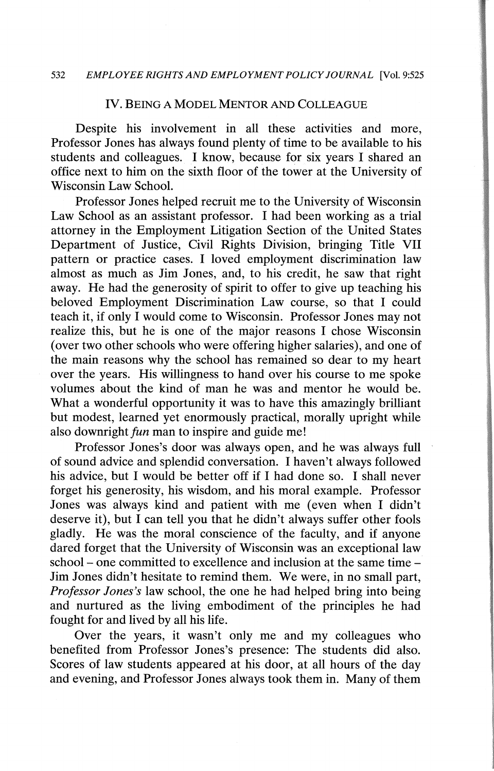### IV. BEING A MODEL MENTOR AND COLLEAGUE

Despite his involvement in all these activities and more, Professor Jones has always found plenty of time to be available to his students and colleagues. I know, because for six years I shared an office next to him on the sixth floor of the tower at the University of Wisconsin Law School.

Professor Jones helped recruit me to the University of Wisconsin Law School as an assistant professor. I had been working as a trial attorney in the Employment Litigation Section of the United States Department of Justice, Civil Rights Division, bringing Title VII pattern or practice cases. I loved employment discrimination law almost as much as Jim Jones, and, to his credit, he saw that right away. He had the generosity of spirit to offer to give up teaching his beloved Employment Discrimination Law course, so that I could teach it, if only I would come to Wisconsin. Professor Jones may not realize this, but he is one of the major reasons I chose Wisconsin (over two other schools who were offering higher salaries), and one of the main reasons why the school has remained so dear to my heart over the years. His willingness to hand over his course to me spoke volumes about the kind of man he was and mentor he would be. What a wonderful opportunity it was to have this amazingly brilliant but modest, learned yet enormously practical, morally upright while also downright *fun* man to inspire and guide me!

Professor Jones's door was always open, and he was always full of sound advice and splendid conversation. I haven't always followed his advice, but I would be better off if I had done so. I shall never forget his generosity, his wisdom, and his moral example. Professor Jones was always kind and patient with me (even when I didn't deserve it), but I can tell you that he didn't always suffer other fools gladly. He was the moral conscience of the faculty, and if anyone dared forget that the University of Wisconsin was an exceptional law school – one committed to excellence and inclusion at the same time – Jim Jones didn't hesitate to remind them. We were, in no small part, *Professor Jones's* law school, the one he had helped bring into being and nurtured as the living embodiment of the principles he had fought for and lived by all his life.

Over the years, it wasn't only me and my colleagues who benefited from Professor Jones's presence: The students did also. Scores of law students appeared at his door, at all hours of the day and evening, and Professor Jones always took them in. Many of them